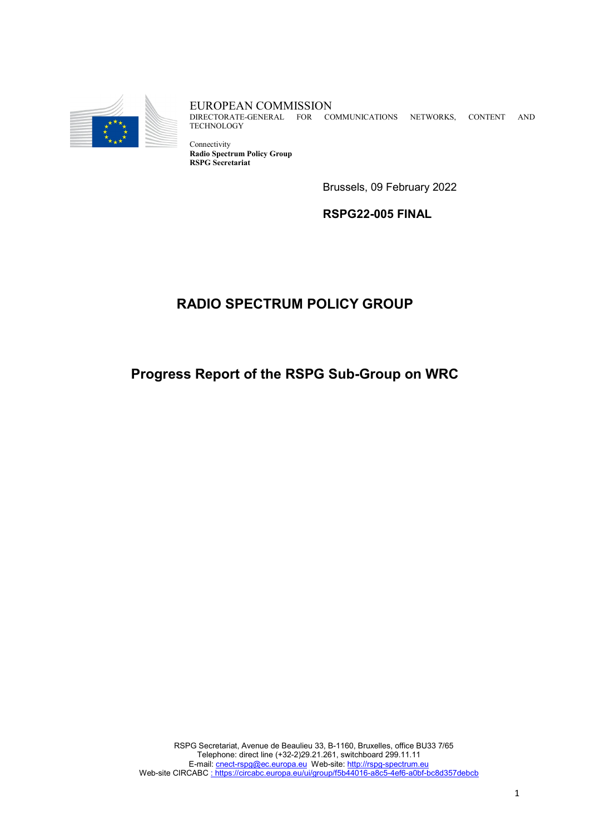

EUROPEAN COMMISSION DIRECTORATE-GENERAL FOR COMMUNICATIONS NETWORKS, CONTENT AND **TECHNOLOGY** 

Connectivity **Radio Spectrum Policy Group RSPG Secretariat** 

Brussels, 09 February 2022

**RSPG22-005 FINAL**

# **RADIO SPECTRUM POLICY GROUP**

## **Progress Report of the RSPG Sub-Group on WRC**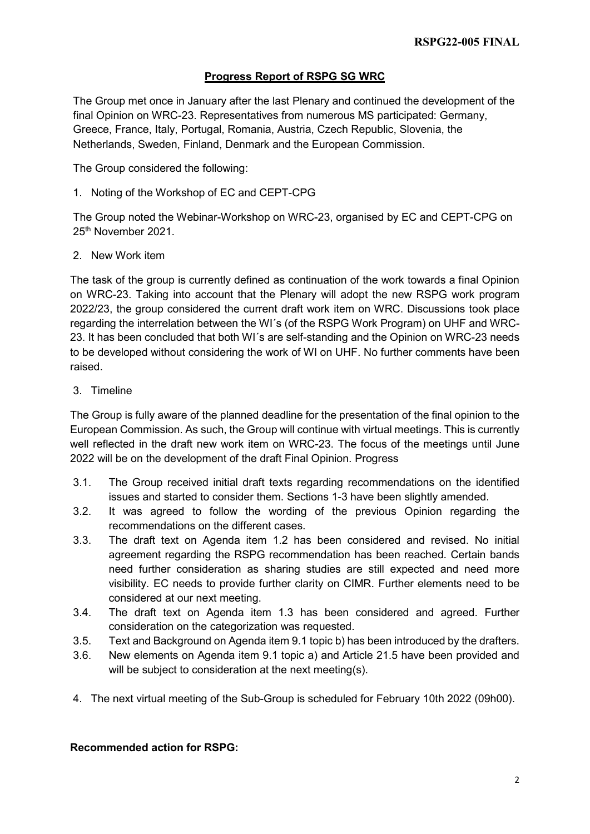## **Progress Report of RSPG SG WRC**

The Group met once in January after the last Plenary and continued the development of the final Opinion on WRC-23. Representatives from numerous MS participated: Germany, Greece, France, Italy, Portugal, Romania, Austria, Czech Republic, Slovenia, the Netherlands, Sweden, Finland, Denmark and the European Commission.

The Group considered the following:

1. Noting of the Workshop of EC and CEPT-CPG

The Group noted the Webinar-Workshop on WRC-23, organised by EC and CEPT-CPG on 25<sup>th</sup> November 2021.

#### 2. New Work item

The task of the group is currently defined as continuation of the work towards a final Opinion on WRC-23. Taking into account that the Plenary will adopt the new RSPG work program 2022/23, the group considered the current draft work item on WRC. Discussions took place regarding the interrelation between the WI´s (of the RSPG Work Program) on UHF and WRC-23. It has been concluded that both WI´s are self-standing and the Opinion on WRC-23 needs to be developed without considering the work of WI on UHF. No further comments have been raised.

#### 3. Timeline

The Group is fully aware of the planned deadline for the presentation of the final opinion to the European Commission. As such, the Group will continue with virtual meetings. This is currently well reflected in the draft new work item on WRC-23. The focus of the meetings until June 2022 will be on the development of the draft Final Opinion. Progress

- 3.1. The Group received initial draft texts regarding recommendations on the identified issues and started to consider them. Sections 1-3 have been slightly amended.
- 3.2. It was agreed to follow the wording of the previous Opinion regarding the recommendations on the different cases.
- 3.3. The draft text on Agenda item 1.2 has been considered and revised. No initial agreement regarding the RSPG recommendation has been reached. Certain bands need further consideration as sharing studies are still expected and need more visibility. EC needs to provide further clarity on CIMR. Further elements need to be considered at our next meeting.
- 3.4. The draft text on Agenda item 1.3 has been considered and agreed. Further consideration on the categorization was requested.
- 3.5. Text and Background on Agenda item 9.1 topic b) has been introduced by the drafters.
- 3.6. New elements on Agenda item 9.1 topic a) and Article 21.5 have been provided and will be subject to consideration at the next meeting(s).
- 4. The next virtual meeting of the Sub-Group is scheduled for February 10th 2022 (09h00).

## **Recommended action for RSPG:**